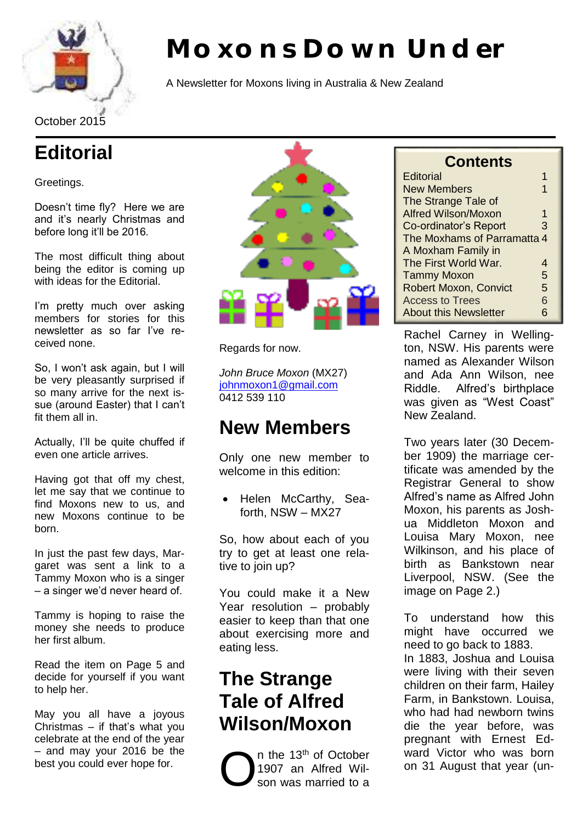

# **Moxons Down Under**

A Newsletter for Moxons living in Australia & New Zealand

October 2015

# **Editorial**

#### Greetings.

Doesn't time fly? Here we are and it's nearly Christmas and before long it'll be 2016.

The most difficult thing about being the editor is coming up with ideas for the Editorial.

I'm pretty much over asking members for stories for this newsletter as so far I've received none.

So, I won't ask again, but I will be very pleasantly surprised if so many arrive for the next issue (around Easter) that I can't fit them all in.

Actually, I'll be quite chuffed if even one article arrives.

Having got that off my chest, let me say that we continue to find Moxons new to us, and new Moxons continue to be born.

In just the past few days, Margaret was sent a link to a Tammy Moxon who is a singer – a singer we'd never heard of.

Tammy is hoping to raise the money she needs to produce her first album.

Read the item on Page 5 and decide for yourself if you want to help her.

May you all have a joyous Christmas – if that's what you celebrate at the end of the year – and may your 2016 be the best you could ever hope for.



Regards for now.

*John Bruce Moxon* (MX27) [johnmoxon1@gmail.com](mailto:johnmoxon1@gmail.com) 0412 539 110

# **New Members**

Only one new member to welcome in this edition:

 Helen McCarthy, Seaforth, NSW – MX27

So, how about each of you try to get at least one relative to join up?

You could make it a New Year resolution – probably easier to keep than that one about exercising more and eating less.

# **The Strange Tale of Alfred Wilson/Moxon**

n the 13th of October 1907 an Alfred Wilson was married to a

| <b>Contents</b> |
|-----------------|
|-----------------|

| <b>Editorial</b>             |   |  |
|------------------------------|---|--|
| <b>New Members</b>           |   |  |
| The Strange Tale of          |   |  |
| <b>Alfred Wilson/Moxon</b>   | 1 |  |
| Co-ordinator's Report        | З |  |
| The Moxhams of Parramatta 4  |   |  |
| A Moxham Family in           |   |  |
| The First World War.         | 4 |  |
| <b>Tammy Moxon</b>           | 5 |  |
| <b>Robert Moxon, Convict</b> | 5 |  |
| <b>Access to Trees</b>       | 6 |  |
| <b>About this Newsletter</b> | հ |  |

Rachel Carney in Wellington, NSW. His parents were named as Alexander Wilson and Ada Ann Wilson, nee Riddle. Alfred's birthplace was given as "West Coast" New Zealand.

Two years later (30 December 1909) the marriage certificate was amended by the Registrar General to show Alfred's name as Alfred John Moxon, his parents as Joshua Middleton Moxon and Louisa Mary Moxon, nee Wilkinson, and his place of birth as Bankstown near Liverpool, NSW. (See the image on Page 2.)

To understand how this might have occurred we need to go back to 1883. In 1883, Joshua and Louisa were living with their seven children on their farm, Hailey Farm, in Bankstown. Louisa, who had had newborn twins die the year before, was pregnant with Ernest Edward Victor who was born<br>on 31 August that year (un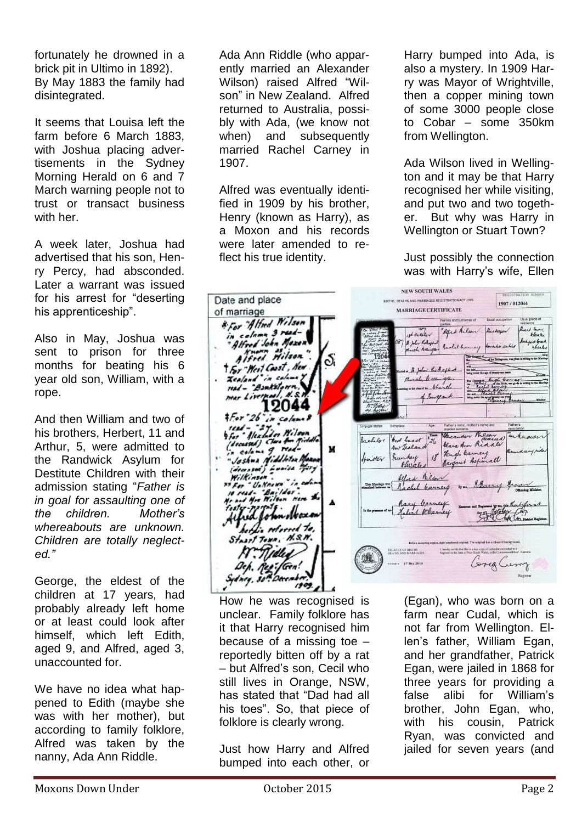fortunately he drowned in a brick pit in Ultimo in 1892). By May 1883 the family had disintegrated.

It seems that Louisa left the farm before 6 March 1883, with Joshua placing advertisements in the Sydney Morning Herald on 6 and 7 March warning people not to trust or transact business with her.

A week later, Joshua had advertised that his son, Henry Percy, had absconded. Later a warrant was issued for his arrest for "deserting his apprenticeship".

Also in May, Joshua was sent to prison for three months for beating his 6 year old son, William, with a rope.

And then William and two of his brothers, Herbert, 11 and Arthur, 5, were admitted to the Randwick Asylum for Destitute Children with their admission stating "*Father is in goal for assaulting one of the children. Mother's whereabouts are unknown. Children are totally neglected."*

George, the eldest of the children at 17 years, had probably already left home or at least could look after himself, which left Edith, aged 9, and Alfred, aged 3, unaccounted for.

We have no idea what happened to Edith (maybe she was with her mother), but according to family folklore, Alfred was taken by the nanny, Ada Ann Riddle.

Ada Ann Riddle (who apparently married an Alexander Wilson) raised Alfred "Wilson" in New Zealand. Alfred returned to Australia, possibly with Ada, (we know not when) and subsequently married Rachel Carney in 1907.

Alfred was eventually identified in 1909 by his brother, Henry (known as Harry), as a Moxon and his records were later amended to reflect his true identity.

Harry bumped into Ada, is also a mystery. In 1909 Harry was Mayor of Wrightville, then a copper mining town of some 3000 people close to Cobar – some 350km from Wellington.

Ada Wilson lived in Wellington and it may be that Harry recognised her while visiting, and put two and two together. But why was Harry in Wellington or Stuart Town?

Just possibly the connection was with Harry's wife, Ellen

**NEW SOUTH WALES** Date and place KNITHH, DEATHS AND NARREADES REGISTRATION ACT 1995 1907/012044 MARRIAGE CERTIFICATE of marriage \* For Alfred Wilson Nemes and surfaces of "Aged Kilson there to me. in colomn 3 read-<br>"Alfred John Mexen  $R$  charge stocker a John Katharia Bachel banney to ard Green<br>Adeia lea Alfred Hilson Ιб,  $\overline{120}$ t For West Coast, New . A John the England Zealand in column Burch, Messington a more high band<br>- hope band read - "Bankston of Engeand 12044  $12099$ Hundin Wilson Father's name, mother's name and<br>maxim sumsene **Fathers** West least to the cander Received Hecander Milson La chilos Class & calama g. read-<br>calama g. read-<br>calama giddletur Ma M 18 Kingle Garnery<br>18 Kingle Garnery munkey Sunday at) Louise Mary Alfred Milen Elars Rachel Carney Drm Rary Carney tobinokoxa Labert Wham . referred to **RECEIVEY OF BIRTHS**<br>DEATHS AND MARKINGES I have y antily the fluing size cars of pertindent to Corea Curry dney, 34  $1909$ 

How he was recognised is unclear. Family folklore has it that Harry recognised him because of a missing toe – reportedly bitten off by a rat – but Alfred's son, Cecil who still lives in Orange, NSW, has stated that "Dad had all his toes". So, that piece of folklore is clearly wrong.

Just how Harry and Alfred bumped into each other, or

(Egan), who was born on a farm near Cudal, which is not far from Wellington. Ellen's father, William Egan, and her grandfather, Patrick Egan, were jailed in 1868 for three years for providing a false alibi for William's brother, John Egan, who, with his cousin. Patrick Ryan, was convicted and jailed for seven years (and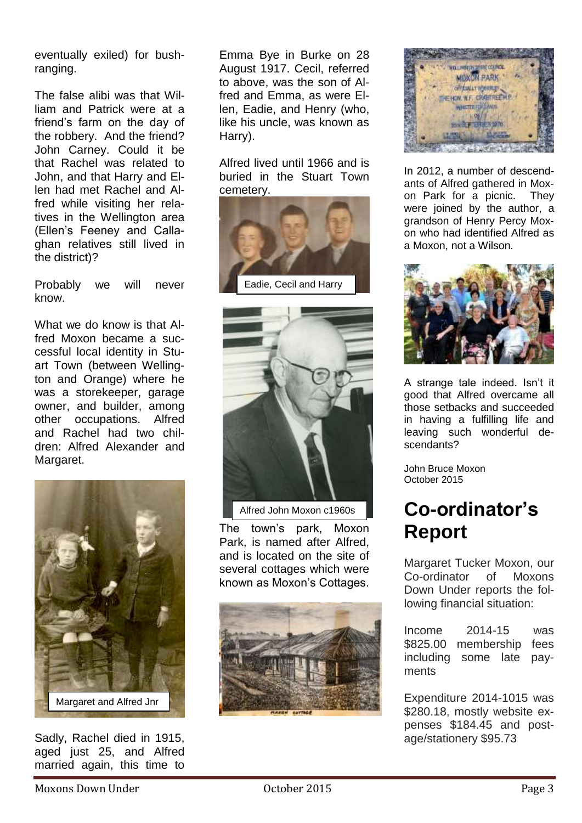eventually exiled) for bushranging.

The false alibi was that William and Patrick were at a friend's farm on the day of the robbery. And the friend? John Carney. Could it be that Rachel was related to John, and that Harry and Ellen had met Rachel and Alfred while visiting her relatives in the Wellington area (Ellen's Feeney and Callaghan relatives still lived in the district)?

Probably we will never know.

What we do know is that Alfred Moxon became a successful local identity in Stuart Town (between Wellington and Orange) where he was a storekeeper, garage owner, and builder, among other occupations. Alfred and Rachel had two children: Alfred Alexander and Margaret.



Sadly, Rachel died in 1915, aged just 25, and Alfred married again, this time to

Emma Bye in Burke on 28 August 1917. Cecil, referred to above, was the son of Alfred and Emma, as were Ellen, Eadie, and Henry (who, like his uncle, was known as Harry).

Alfred lived until 1966 and is buried in the Stuart Town cemetery.





Alfred John Moxon c1960s

The town's park, Moxon Park, is named after Alfred, and is located on the site of several cottages which were known as Moxon's Cottages.





In 2012, a number of descendants of Alfred gathered in Moxon Park for a picnic. They were joined by the author, a grandson of Henry Percy Moxon who had identified Alfred as a Moxon, not a Wilson.



A strange tale indeed. Isn't it good that Alfred overcame all those setbacks and succeeded in having a fulfilling life and leaving such wonderful descendants?

John Bruce Moxon October 2015

# **Co-ordinator's Report**

Margaret Tucker Moxon, our Co-ordinator of Moxons Down Under reports the following financial situation:

Income 2014-15 was \$825.00 membership fees including some late payments

Expenditure 2014-1015 was \$280.18, mostly website expenses \$184.45 and postage/stationery \$95.73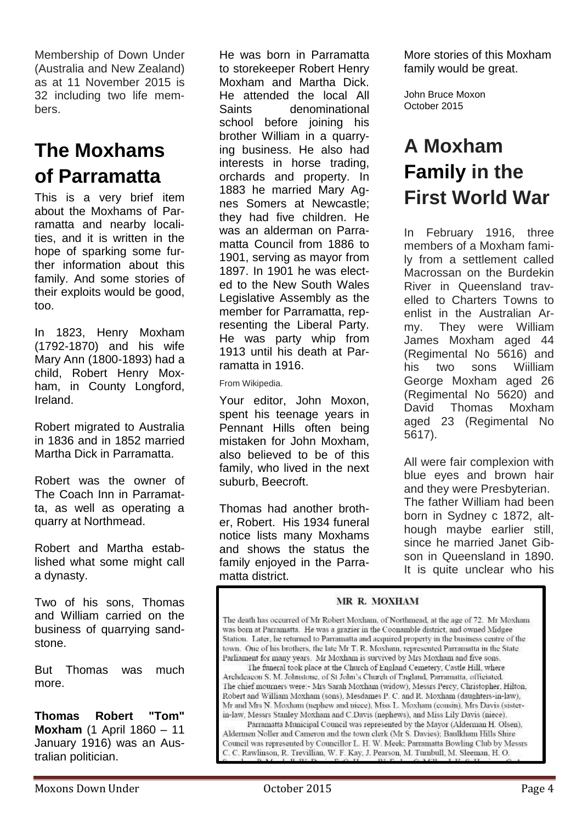Membership of Down Under (Australia and New Zealand) as at 11 November 2015 is 32 including two life members.

# **The Moxhams of Parramatta**

This is a very brief item about the Moxhams of Parramatta and nearby localities, and it is written in the hope of sparking some further information about this family. And some stories of their exploits would be good, too.

In 1823, Henry Moxham (1792-1870) and his wife Mary Ann (1800-1893) had a child, Robert Henry Moxham, in County Longford, Ireland.

Robert migrated to Australia in 1836 and in 1852 married Martha Dick in Parramatta.

Robert was the owner of The Coach Inn in Parramatta, as well as operating a quarry at Northmead.

Robert and Martha established what some might call a dynasty.

Two of his sons, Thomas and William carried on the business of quarrying sandstone.

But Thomas was much more.

**Thomas Robert "Tom" Moxham** (1 April 1860 – 11 January 1916) was an Australian politician.

He was born in Parramatta to storekeeper Robert Henry Moxham and Martha Dick. He attended the local All Saints denominational school before joining his brother William in a quarrying business. He also had interests in horse trading, orchards and property. In 1883 he married Mary Agnes Somers at Newcastle; they had five children. He was an alderman on Parramatta Council from 1886 to 1901, serving as mayor from 1897. In 1901 he was elected to the New South Wales Legislative Assembly as the member for Parramatta, representing the Liberal Party. He was party whip from 1913 until his death at Parramatta in 1916.

From Wikipedia.

Your editor, John Moxon, spent his teenage years in Pennant Hills often being mistaken for John Moxham, also believed to be of this family, who lived in the next suburb, Beecroft.

Thomas had another brother, Robert. His 1934 funeral notice lists many Moxhams and shows the status the family enjoyed in the Parramatta district.

More stories of this Moxham family would be great.

John Bruce Moxon October 2015

# **A Moxham Family in the First World War**

In February 1916, three members of a Moxham family from a settlement called Macrossan on the Burdekin River in Queensland travelled to Charters Towns to enlist in the Australian Army. They were William James Moxham aged 44 (Regimental No 5616) and his two sons Wiilliam George Moxham aged 26 (Regimental No 5620) and David Thomas Moxham aged 23 (Regimental No 5617).

All were fair complexion with blue eyes and brown hair and they were Presbyterian. The father William had been born in Sydney c 1872, although maybe earlier still, since he married Janet Gibson in Queensland in 1890. It is quite unclear who his

#### MR R. MOXHAM

The death has occurred of Mr Robert Moxham, of Northmead, at the age of 72. Mr Moxham was born at Parramatta. He was a grazier in the Coonamble district, and owned Midgee Station. Later, he returned to Parramatta and acquired property in the business centre of the town. One of his brothers, the late Mr T. R. Moxham, represented Parramatta in the State Parliament for many years. Mr Moxham is survived by Mrs Moxham and five sons.

The funeral took place at the Church of England Cemetery, Castle Hill, where Archdeacon S. M. Johnstone, of St John's Church of England, Parramatta, officiated. The chief mourners were:- Mrs Sarah Moxham (widow), Messrs Percy, Christopher, Hilton, Robert and William Moxham (sons), Mesdames P. C. and R. Moxham (daughters-in-law), Mr and Mrs N. Moxham (nephew and niece), Miss L. Moxham (cousin), Mrs Davis (sisterin-law, Messrs Stanley Moxham and C.Davis (nephews), and Miss Lily Davis (niece).

Parramatta Municipal Council was represented by the Mayor (Alderman H. Olsen), Aldermen Noller and Cameron and the town clerk (Mr S. Davies); Baulkham Hills Shire Council was represented by Councillor L. H. W. Meek; Parramatta Bowling Club by Messrs C. C. Rawlinson, R. Trevillian, W. F. Kay, J. Pearson, M. Turnbull, M. Sleeman, H. O.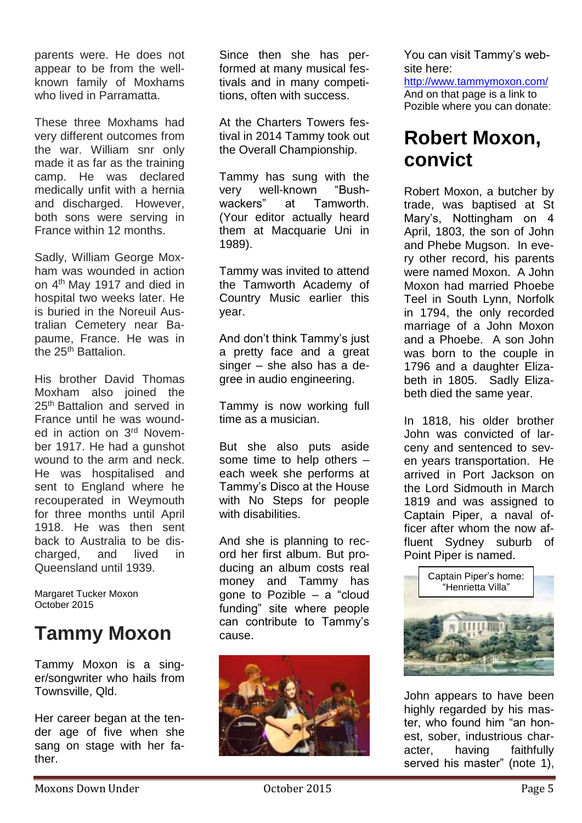parents were. He does not appear to be from the wellknown family of Moxhams who lived in Parramatta.

These three Moxhams had very different outcomes from the war. William snr only made it as far as the training camp. He was declared medically unfit with a hernia and discharged. However, both sons were serving in France within 12 months.

Sadly, William George Moxham was wounded in action on 4th May 1917 and died in hospital two weeks later. He is buried in the Noreuil Australian Cemetery near Bapaume, France. He was in the 25<sup>th</sup> Battalion.

His brother David Thomas Moxham also joined the 25<sup>th</sup> Battalion and served in France until he was wounded in action on 3<sup>rd</sup> November 1917. He had a gunshot wound to the arm and neck. He was hospitalised and sent to England where he recouperated in Weymouth for three months until April 1918. He was then sent back to Australia to be discharged, and lived in Queensland until 1939.

Margaret Tucker Moxon October 2015

# **Tammy Moxon**

Tammy Moxon is a singer/songwriter who hails from Townsville, Qld.

Her career began at the tender age of five when she sang on stage with her father.

Since then she has performed at many musical festivals and in many competitions, often with success.

At the Charters Towers festival in 2014 Tammy took out the Overall Championship.

Tammy has sung with the very well-known "Bushwackers" at Tamworth (Your editor actually heard them at Macquarie Uni in 1989).

Tammy was invited to attend the Tamworth Academy of Country Music earlier this year.

And don't think Tammy's just a pretty face and a great singer – she also has a degree in audio engineering.

Tammy is now working full time as a musician.

But she also puts aside some time to help others – each week she performs at Tammy's Disco at the House with No Steps for people with disabilities.

And she is planning to record her first album. But producing an album costs real money and Tammy has gone to Pozible – a "cloud funding" site where people can contribute to Tammy's cause.



You can visit Tammy's website here:

<http://www.tammymoxon.com/> And on that page is a link to Pozible where you can donate:

## **Robert Moxon, convict**

Robert Moxon, a butcher by trade, was baptised at St Mary's, Nottingham on 4 April, 1803, the son of John and Phebe Mugson. In every other record, his parents were named Moxon. A John Moxon had married Phoebe Teel in South Lynn, Norfolk in 1794, the only recorded marriage of a John Moxon and a Phoebe. A son John was born to the couple in 1796 and a daughter Elizabeth in 1805. Sadly Elizabeth died the same year.

In 1818, his older brother John was convicted of larceny and sentenced to seven years transportation. He arrived in Port Jackson on the Lord Sidmouth in March 1819 and was assigned to Captain Piper, a naval officer after whom the now affluent Sydney suburb of Point Piper is named.



John appears to have been highly regarded by his master, who found him "an honest, sober, industrious character, having faithfully served his master" (note 1),